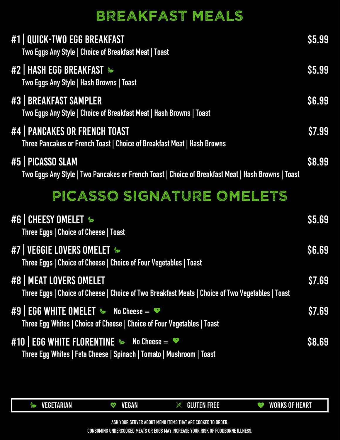

#10 | EGG WHITE FLORENTINE **&** No Cheese =  $\bullet$ **Three Egg Whites | Feta Cheese | Spinach | Tomato | Mushroom | Toast**

\$8.69

#9 | EGG WHITE OMELET **No Cheese =** \$7.69

**Three Egg Whites | Choice of Cheese | Choice of Four Vegetables | Toast**

#### #8 | MEAT LOVERS OMELET

**Three Eggs | Choice of Cheese | Choice of Two Breakfast Meats | Choice of Two Vegetables | Toast**

\$7.69

**Three Eggs | Choice of Cheese | Choice of Four Vegetables | Toast**

| #1 QUICK-TWO EGG BREAKFAST<br>Two Eggs Any Style   Choice of Breakfast Meat   Toast                                     | <b>S5.99</b> |
|-------------------------------------------------------------------------------------------------------------------------|--------------|
| #2   HASH EGG BREAKFAST<br>Two Eggs Any Style   Hash Browns   Toast                                                     | <b>S5.99</b> |
| #3   BREAKFAST SAMPLER<br>Two Eggs Any Style   Choice of Breakfast Meat   Hash Browns   Toast                           | <b>S6.99</b> |
| #4   PANCAKES OR FRENCH TOAST<br>Three Pancakes or French Toast   Choice of Breakfast Meat   Hash Browns                | S7.99        |
| #5   PICASSO SLAM<br>Two Eggs Any Style   Two Pancakes or French Toast   Choice of Breakfast Meat   Hash Browns   Toast | \$8.99       |
| PICASSO SIGNATURE OMELETS                                                                                               |              |
| #6 CHEESY OMELET &<br>Three Eggs   Choice of Cheese   Toast                                                             | S5.69        |

#### #7 | VEGGIE LOVERS OMELET &

# BREAKFAST MEALS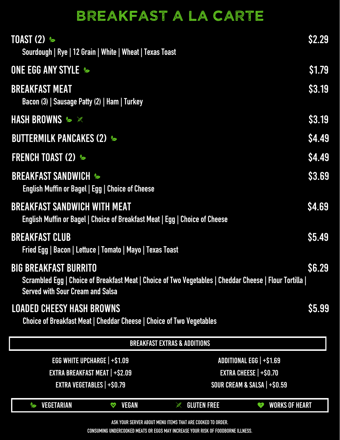| <b>BREAKFAST EXTRAS &amp; ADDITIONS</b>                    |                                       |                                        |                                       |
|------------------------------------------------------------|---------------------------------------|----------------------------------------|---------------------------------------|
| EGG WHITE UPCHARGE   +\$1.09                               |                                       |                                        | ADDITIONAL EGG   +\$1.69              |
| <b>EXTRA BREAKFAST MEAT   +\$2.09</b>                      |                                       |                                        | <b>EXTRA CHEESE   +\$0.70</b>         |
| <b>EXTRA VEGETABLES   +\$0.79</b>                          |                                       | SOUR CREAM & SALSA   +\$0.59           |                                       |
| <b>VEGETARIAN</b>                                          | <b>VEGAN</b><br>$\boldsymbol{\nabla}$ | <b>GLUTEN FREE</b><br><b>ANGEL AND</b> | <b>WORKS OF HEART</b><br>$\mathbf{Y}$ |
| ASK YOUR SERVER ABOUT MENU ITEMS THAT ARE COOKED TO ORDER. |                                       |                                        |                                       |

#### LOADED CHEESY HASH BROWNS

**Choice of Breakfast Meat | Cheddar Cheese | Choice of Two Vegetables**

\$5.99

#### BIG BREAKFAST BURRITO

**Scrambled Egg | Choice of Breakfast Meat | Choice of Two Vegetables | Cheddar Cheese | Flour Tortilla | Served with Sour Cream and Salsa**

**Fried Egg | Bacon | Lettuce | Tomato | Mayo | Texas Toast**

| <b>TOAST (2) <math>\approx</math></b><br>Sourdough   Rye   12 Grain   White   Wheat   Texas Toast                  | <b>\$2.29</b> |
|--------------------------------------------------------------------------------------------------------------------|---------------|
| <b>ONE EGG ANY STYLE &amp;</b>                                                                                     | \$1.79        |
| <b>BREAKFAST MEAT</b><br>Bacon (3)   Sausage Patty (2)   Ham   Turkey                                              | <b>\$3.19</b> |
| HASH BROWNS & X                                                                                                    | <b>\$3.19</b> |
| <b>BUTTERMILK PANCAKES (2) &amp;</b>                                                                               | <b>\$4.49</b> |
| <b>FRENCH TOAST (2) &amp;</b>                                                                                      | <b>\$4.49</b> |
| <b>BREAKFAST SANDWICH &amp;</b><br><b>English Muffin or Bagel   Egg   Choice of Cheese</b>                         | \$3.69        |
| <b>BREAKFAST SANDWICH WITH MEAT</b><br>English Muffin or Bagel   Choice of Breakfast Meat   Egg   Choice of Cheese | <b>\$4.69</b> |
| <b>BREAKFAST CLUB</b>                                                                                              | \$5.49        |

# BREAKFAST A LA CARTE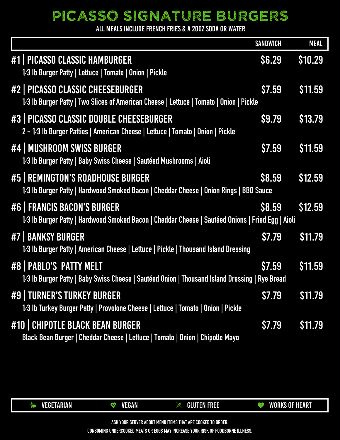

#10 | CHIPOTLE BLACK BEAN BURGER **Black Bean Burger | Cheddar Cheese | Lettuce | Tomato | Onion | Chipotle Mayo** \$7.79 \$11.79 #9 | TURNER'S TURKEY BURGER **1⁄3 Ib Turkey Burger Patty | Provolone Cheese | Lettuce | Tomato | Onion | Pickle** \$7.79 \$11.79 #8 | PABLO'S PATTY MELT **1⁄3 Ib Burger Patty | Baby Swiss Cheese | Sautéed Onion | Thousand Island Dressing | Rye Bread** \$7.59 \$11.59 **1⁄3 Ib Burger Patty | American Cheese | Lettuce | Pickle | Thousand Island Dressing**

|                                                                                                                                    | <b>SANDWICH</b> | <b>MEAL</b>    |
|------------------------------------------------------------------------------------------------------------------------------------|-----------------|----------------|
| #1   PICASSO CLASSIC HAMBURGER<br>1/3 Ib Burger Patty   Lettuce   Tomato   Onion   Pickle                                          | <b>S6.29</b>    | \$10.29        |
| #2   PICASSO CLASSIC CHEESEBURGER<br>1/3 Ib Burger Patty   Two Slices of American Cheese   Lettuce   Tomato   Onion   Pickle       | <b>\$7.59</b>   | \$11.59        |
| #3   PICASSO CLASSIC DOUBLE CHEESEBURGER<br>2 - 1/3 Ib Burger Patties   American Cheese   Lettuce   Tomato   Onion   Pickle        | \$9.79          | \$13.79        |
| #4   MUSHROOM SWISS BURGER<br>1/3 Ib Burger Patty   Baby Swiss Cheese   Sautéed Mushrooms   Aioli                                  | \$7.59          | <b>\$11.59</b> |
| #5   REMINGTON'S ROADHOUSE BURGER<br><b>1/3 lb Burger Patty   Hardwood Smoked Bacon   Cheddar Cheese   Onion Rings   BBQ Sauce</b> | <b>\$8.59</b>   | \$12.59        |
| #6   FRANCIS BACON'S BURGER<br>1/3 Ib Burger Patty   Hardwood Smoked Bacon   Cheddar Cheese   Sautéed Onions   Fried Egg   Aioli   | <b>S8.59</b>    | \$12.59        |
| #7   BANKSY BURGER                                                                                                                 | <b>\$7.79</b>   | \$11.79        |

ALL MEALS INCLUDE FRENCH FRIES & A 20OZ SODA OR WATER

# PICASSO SIGNATURE BURGERS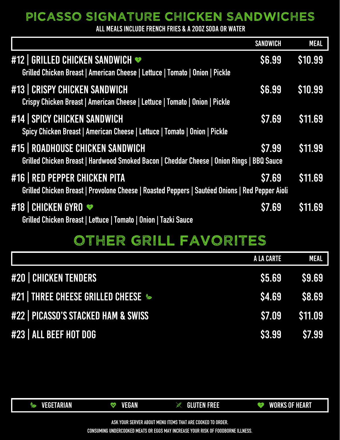**ASK YOUR SERVER ABOUT MENU ITEMS THAT ARE COOKED TO ORDER.** 

**CONSUMING UNDERCOOKED MEATS OR EGGS MAY INCREASE YOUR RISK OF FOODBORNE ILLNESS.**



|                                     | <b>A LA CARTE</b> | <b>MEAL</b>  |
|-------------------------------------|-------------------|--------------|
| #20   CHICKEN TENDERS               | <b>\$5.69</b>     | S9.69        |
| #21   THREE CHEESE GRILLED CHEESE & | <b>\$4.69</b>     | <b>S8.69</b> |
| #22   PICASSO'S STACKED HAM & SWISS | <b>\$7.09</b>     | \$11.09      |
| #23   ALL BEEF HOT DOG              | <b>\$3.99</b>     | S7.99        |

OTHER GRILL FAVORITES

|                                                                                                                                      | <b>SANDWICH</b> | <b>MEAL</b>    |
|--------------------------------------------------------------------------------------------------------------------------------------|-----------------|----------------|
| #12   GRILLED CHICKEN SANDWICH<br>Grilled Chicken Breast   American Cheese   Lettuce   Tomato   Onion   Pickle                       | \$6.99          | \$10.99        |
| #13   CRISPY CHICKEN SANDWICH<br>Crispy Chicken Breast   American Cheese   Lettuce   Tomato   Onion   Pickle                         | <b>S6.99</b>    | \$10.99        |
| #14   SPICY CHICKEN SANDWICH<br>Spicy Chicken Breast   American Cheese   Lettuce   Tomato   Onion   Pickle                           | <b>\$7.69</b>   | \$11.69        |
| <b>#15   ROADHOUSE CHICKEN SANDWICH</b><br>Grilled Chicken Breast   Hardwood Smoked Bacon   Cheddar Cheese   Onion Rings   BBQ Sauce | <b>\$7.99</b>   | \$11.99        |
| #16   RED PEPPER CHICKEN PITA<br>Grilled Chicken Breast   Provolone Cheese   Roasted Peppers   Sautéed Onions   Red Pepper Aioli     | <b>\$7.69</b>   | \$11.69        |
| #18 CHICKEN GYRO<br><b>Grilled Chicken Breast   Lettuce   Tomato   Onion   Tazki Sauce</b>                                           | \$7.69          | <b>\$11.69</b> |
| <b>CONTRACTOR</b>                                                                                                                    |                 |                |

ALL MEALS INCLUDE FRENCH FRIES & A 20OZ SODA OR WATER

### PICASSO SIGNATURE CHICKEN SANDWICHES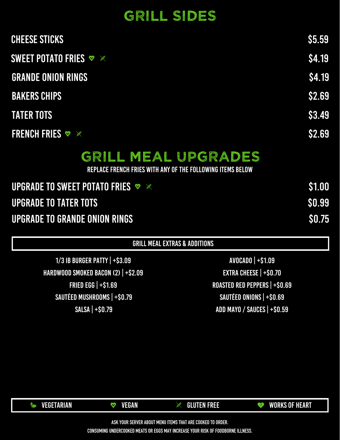

GRILL MEAL EXTRAS & ADDITIONS

1/3 IB BURGER PATTY | +\$3.09 AVOCADO | +\$1.09 SAUTÉED MUSHROOMS | +\$0.79 SALSA | +\$0.79 HARDWOOD SMOKED BACON (2) | +\$2.09 FRIED EGG | +\$1.69

EXTRA CHEESE | +\$0.70 ROASTED RED PEPPERS | +\$0.69 SAUTÉED ONIONS | +\$0.69 ADD MAYO / SAUCES | +\$0.59

| <b>UPGRADE TO SWEET POTATO FRIES <math>\vee</math></b> | S1.00        |
|--------------------------------------------------------|--------------|
| <b>UPGRADE TO TATER TOTS</b>                           | <b>SO.99</b> |
| <b>UPGRADE TO GRANDE ONION RINGS</b>                   | <b>SO.75</b> |

#### REPLACE FRENCH FRIES WITH ANY OF THE FOLLOWING ITEMS BELOW

# GRILL MEAL UPGRADES

| CHEESE STICKS                                    | \$5.59 |
|--------------------------------------------------|--------|
| SWEET POTATO FRIES $\triangledown \triangledown$ | \$4.19 |
| <b>GRANDE ONION RINGS</b>                        | \$4.19 |
| <b>BAKERS CHIPS</b>                              | \$2.69 |
| <b>TATER TOTS</b>                                | \$3.49 |
| <b>FRENCH FRIES V</b>                            | \$2.69 |

# GRILL SIDES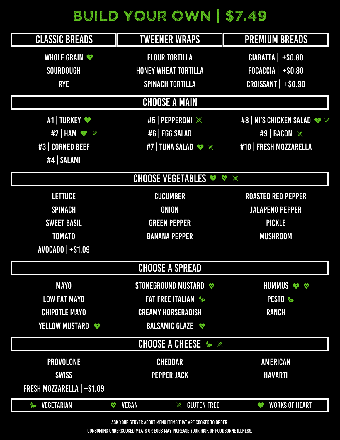|                                                            |                              | <b>CHOOSE A SPREAD</b>              |                                        |
|------------------------------------------------------------|------------------------------|-------------------------------------|----------------------------------------|
| <b>MAYO</b>                                                |                              | STONEGROUND MUSTARD                 | HUMMUS & A                             |
| <b>LOW FAT MAYO</b>                                        |                              | <b>FAT FREE ITALIAN %</b>           | PESTO &                                |
| <b>CHIPOTLE MAYO</b>                                       |                              | <b>CREAMY HORSERADISH</b>           | <b>RANCH</b>                           |
| <b>YELLOW MUSTARD</b>                                      |                              | BALSAMIC GLAZE                      |                                        |
|                                                            |                              | <b>CHOOSE A CHEESE &amp; X</b>      |                                        |
| PROVOLONE                                                  |                              | <b>CHEDDAR</b>                      | <b>AMERICAN</b>                        |
| <b>SWISS</b>                                               |                              | <b>PEPPER JACK</b>                  | <b>HAVARTI</b>                         |
| FRESH MOZZARELLA   +\$1.09                                 |                              |                                     |                                        |
| VEGETARIAN                                                 | <b>VEGAN</b><br>$\mathbf{V}$ | <b>GLUTEN FREE</b><br><b>CALLER</b> | <b>WORKS OF HEART</b><br>$\mathcal{I}$ |
| ASK YOUR SERVER ABOUT MENU ITEMS THAT ARE COOKED TO ORDER. |                              |                                     |                                        |

AVOCADO | +\$1.09

# BUILD YOUR OWN \$7.49

| <b>CLASSIC BREADS</b>         | <b>TWEENER WRAPS</b>                                         | <b>PREMIUM BREADS</b>     |
|-------------------------------|--------------------------------------------------------------|---------------------------|
| WHOLE GRAIN                   | <b>FLOUR TORTILLA</b>                                        | <b>CIABATTA   +\$0.80</b> |
| SOURDOUGH                     | <b>HONEY WHEAT TORTILLA</b>                                  | $FOCACCIA$ +\$0.80        |
| <b>RYE</b>                    | <b>SPINACH TORTILLA</b>                                      | CROISSANT   +\$0.90       |
|                               | <b>CHOOSE A MAIN</b>                                         |                           |
| #1   TURKEY                   | #5   PEPPERONI ※                                             | #8   NI'S CHICKEN SALAD   |
| #2   HAM $\bullet \mathbb{X}$ | #6   EGG SALAD                                               | #9   BACON                |
| #3   CORNED BEEF              | #7   TUNA SALAD $\bullet \ \mathbb{X}$                       | #10   FRESH MOZZARELLA    |
| #4   SALAMI                   |                                                              |                           |
|                               | <b>CHOOSE VEGETABLES <math>\bullet \bullet \times</math></b> |                           |
| <b>LETTUCE</b>                | <b>CUCUMBER</b>                                              | <b>ROASTED RED PEPPER</b> |
| <b>SPINACH</b>                | <b>ONION</b>                                                 | <b>JALAPENO PEPPER</b>    |
| <b>SWEET BASIL</b>            | <b>GREEN PEPPER</b>                                          | <b>PICKLE</b>             |
| <b>TOMATO</b>                 | <b>BANANA PEPPER</b>                                         | <b>MUSHROOM</b>           |
|                               |                                                              |                           |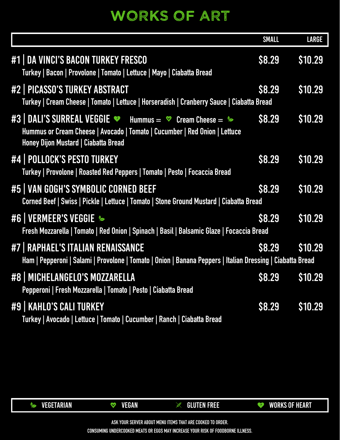

#### #9 | KAHLO'S CALI TURKEY **Turkey | Avocado | Lettuce | Tomato | Cucumber | Ranch | Ciabatta Bread** \$8.29 \$10.29 #8 | MICHELANGELO'S MOZZARELLA **Pepperoni | Fresh Mozzarella | Tomato | Pesto | Ciabatta Bread** \$8.29 \$10.29 #7 | RAPHAEL'S ITALIAN RENAISSANCE **Ham | Pepperoni | Salami | Provolone | Tomato | Onion | Banana Peppers | Italian Dressing | Ciabatta Bread**

|                                                                                                                                                                                                               | <b>SMALL</b>  | <b>LARGE</b> |
|---------------------------------------------------------------------------------------------------------------------------------------------------------------------------------------------------------------|---------------|--------------|
| #1   DA VINCI'S BACON TURKEY FRESCO<br>Turkey   Bacon   Provolone   Tomato   Lettuce   Mayo   Ciabatta Bread                                                                                                  | <b>\$8.29</b> | \$10.29      |
| #2   PICASSO'S TURKEY ABSTRACT<br>Turkey   Cream Cheese   Tomato   Lettuce   Horseradish   Cranberry Sauce   Ciabatta Bread                                                                                   | \$8.29        | \$10.29      |
| #3   DALI'S SURREAL VEGGIE $\bullet$ Hummus = $\bullet$ Cream Cheese = $\bullet$<br>Hummus or Cream Cheese   Avocado   Tomato   Cucumber   Red Onion   Lettuce<br><b>Honey Dijon Mustard   Ciabatta Bread</b> | <b>S8.29</b>  | \$10.29      |
| #4 POLLOCK'S PESTO TURKEY<br>Turkey   Provolone   Roasted Red Peppers   Tomato   Pesto   Focaccia Bread                                                                                                       | <b>\$8.29</b> | \$10.29      |
| #5   VAN GOGH'S SYMBOLIC CORNED BEEF<br>Corned Beef   Swiss   Pickle   Lettuce   Tomato   Stone Ground Mustard   Ciabatta Bread                                                                               | <b>S8.29</b>  | \$10.29      |
| #6   VERMEER'S VEGGIE &<br>Fresh Mozzarella   Tomato   Red Onion   Spinach   Basil   Balsamic Glaze   Focaccia Bread                                                                                          | <b>\$8.29</b> | \$10.29      |
| #7   RAPHAEL'S ITALIAN RENAISSANCE                                                                                                                                                                            | <b>\$8.29</b> | \$10.29      |

# WORKS OF ART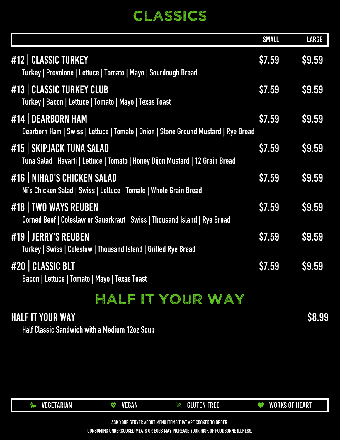

#### HALF IT YOUR WAY

**Half Classic Sandwich with a Medium 12oz Soup**

\$8.99

\$7.59 \$9.59

## HALF IT YOUR WAY

#20 | CLASSIC BLT **Bacon | Lettuce | Tomato | Mayo | Texas Toast**

**Turkey | Swiss | Coleslaw | Thousand Island | Grilled Rye Bread**

|                                                                                                             | <b>SMALL</b>  | <b>LARGE</b>  |
|-------------------------------------------------------------------------------------------------------------|---------------|---------------|
| #12   CLASSIC TURKEY<br>Turkey   Provolone   Lettuce   Tomato   Mayo   Sourdough Bread                      | S7.59         | \$9.59        |
| #13   CLASSIC TURKEY CLUB<br>Turkey   Bacon   Lettuce   Tomato   Mayo   Texas Toast                         | \$7.59        | <b>\$9.59</b> |
| #14   DEARBORN HAM<br>Dearborn Ham   Swiss   Lettuce   Tomato   Onion   Stone Ground Mustard   Rye Bread    | \$7.59        | \$9.59        |
| #15   SKIPJACK TUNA SALAD<br>Tuna Salad   Havarti   Lettuce   Tomato   Honey Dijon Mustard   12 Grain Bread | <b>\$7.59</b> | \$9.59        |
| <b>#16 NIHAD'S CHICKEN SALAD</b><br>Ni's Chicken Salad   Swiss   Lettuce   Tomato   Whole Grain Bread       | \$7.59        | \$9.59        |
| #18   TWO WAYS REUBEN<br>Corned Beef   Coleslaw or Sauerkraut   Swiss   Thousand Island   Rye Bread         | <b>\$7.59</b> | \$9.59        |
| #19 JERRY'S REUBEN<br>Turkey   Swice   Coloclaw   Thousand Island   Grillod Ryo Rroad                       | <b>\$7.59</b> | \$9.59        |

# CLASSICS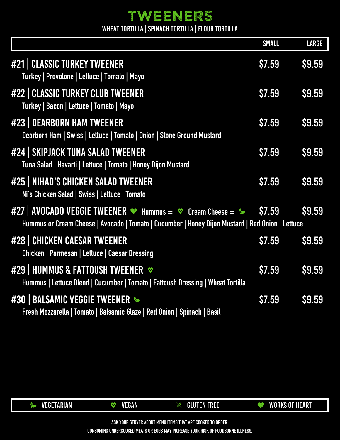

\$7.59 \$9.59

\$7.59 \$9.59

**Fresh Mozzarella | Tomato | Balsamic Glaze | Red Onion | Spinach | Basil**

**Hummus | Lettuce Blend | Cucumber | Tomato | Fattoush Dressing | Wheat Tortilla**

#### #30 | BALSAMIC VEGGIE TWEENER

**Chicken | Parmesan | Lettuce | Caesar Dressing**

#### #29 | HUMMUS & FATTOUSH TWEENER <sup>↓</sup>

|                                                                                                                                                                                                  | <b>SMALL</b>  | <b>LARGE</b>  |
|--------------------------------------------------------------------------------------------------------------------------------------------------------------------------------------------------|---------------|---------------|
| #21   CLASSIC TURKEY TWEENER<br>Turkey   Provolone   Lettuce   Tomato   Mayo                                                                                                                     | \$7.59        | \$9.59        |
| #22   CLASSIC TURKEY CLUB TWEENER<br>Turkey   Bacon   Lettuce   Tomato   Mayo                                                                                                                    | <b>\$7.59</b> | <b>\$9.59</b> |
| #23   DEARBORN HAM TWEENER<br>Dearborn Ham   Swiss   Lettuce   Tomato   Onion   Stone Ground Mustard                                                                                             | \$7.59        | \$9.59        |
| #24   SKIPJACK TUNA SALAD TWEENER<br>Tuna Salad   Havarti   Lettuce   Tomato   Honey Dijon Mustard                                                                                               | <b>\$7.59</b> | <b>\$9.59</b> |
| <b>#25   NIHAD'S CHICKEN SALAD TWEENER</b><br>Ni's Chicken Salad   Swiss   Lettuce   Tomato                                                                                                      | <b>\$7.59</b> | <b>\$9.59</b> |
| $\#27$   AVOCADO VEGGIE TWEENER $\bullet$ Hummus = $\bullet$ Cream Cheese = $\bullet$ \$7.59<br>Hummus or Cream Cheese   Avocado   Tomato   Cucumber   Honey Dijon Mustard   Red Onion   Lettuce |               | <b>S9.59</b>  |
| #28   CHICKEN CAESAR TWEENER                                                                                                                                                                     | <b>\$7.59</b> | <b>\$9.59</b> |

WHEAT TORTILLA | SPINACH TORTILLA | FLOUR TORTILLA

### TWEENERS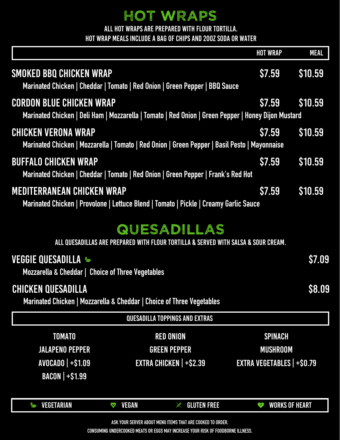| <b>QUESADILLA TOPPINGS AND EXTRAS</b>                      |                               |                                |                                       |
|------------------------------------------------------------|-------------------------------|--------------------------------|---------------------------------------|
| <b>TOMATO</b>                                              |                               | <b>RED ONION</b>               | <b>SPINACH</b>                        |
| <b>JALAPENO PEPPER</b>                                     |                               | <b>GREEN PEPPER</b>            | <b>MUSHROOM</b>                       |
| <b>AVOCADO   +\$1.09</b>                                   |                               | <b>EXTRA CHICKEN   +\$2.39</b> | <b>EXTRA VEGETABLES   +\$0.79</b>     |
| <b>BACON   +\$1.99</b>                                     |                               |                                |                                       |
|                                                            |                               |                                |                                       |
| <b>VEGETARIAN</b>                                          | <b>VEGAN</b><br>$\bm{\nabla}$ | <b>GLUTEN FREE</b>             | <b>WORKS OF HEART</b><br>$\mathbf{Y}$ |
| ASK YOUR SERVER ABOUT MENU ITEMS THAT ARE COOKED TO ORDER. |                               |                                |                                       |

### CHICKEN QUESADILLA

**Marinated Chicken | Mozzarella & Cheddar | Choice of Three Vegetables**

\$8.09



**Mozzarella & Cheddar | Choice of Three Vegetables**

ALL QUESADILLAS ARE PREPARED WITH FLOUR TORTILLA & SERVED WITH SALSA & SOUR CREAM.

|                                                                                                                                        | <b>HOT WRAP</b> | <b>MEAL</b>  |
|----------------------------------------------------------------------------------------------------------------------------------------|-----------------|--------------|
| <b>SMOKED BBQ CHICKEN WRAP</b><br>Marinated Chicken   Cheddar   Tomato   Red Onion   Green Pepper   BBQ Sauce                          | <b>\$7.59</b>   | \$10.59      |
| <b>CORDON BLUE CHICKEN WRAP</b><br>Marinated Chicken   Deli Ham   Mozzarella   Tomato   Red Onion   Green Pepper   Honey Dijon Mustard |                 | S7.59 S10.59 |
| <b>CHICKEN VERONA WRAP</b><br>Marinated Chicken   Mozzarella   Tomato   Red Onion   Green Pepper   Basil Pesto   Mayonnaise            | <b>S7.59</b>    | \$10.59      |
| <b>BUFFALO CHICKEN WRAP</b><br>Marinated Chicken   Cheddar   Tomato   Red Onion   Green Pepper   Frank's Red Hot                       | <b>\$7.59</b>   | \$10.59      |
| <b>MEDITERRANEAN CHICKEN WRAP</b><br>Marinated Chicken   Provolone   Lettuce Blend   Tomato   Pickle   Creamy Garlic Sauce             | <b>\$7.59</b>   | \$10.59      |
| QUESADILLAS                                                                                                                            |                 |              |

### HOT WRAPS

ALL HOT WRAPS ARE PREPARED WITH FLOUR TORTILLA.

HOT WRAP MEALS INCLUDE A BAG OF CHIPS AND 20OZ SODA OR WATER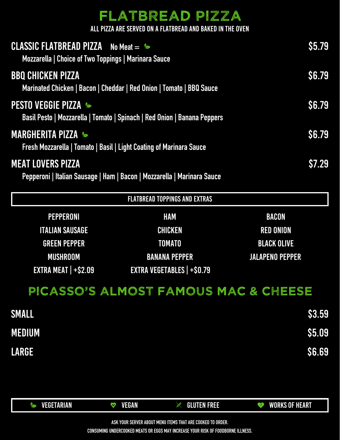RED ONION BLACK OLIVE



TOMATO

GREEN PEPPER

| <b>CLASSIC FLATBREAD PIZZA</b> No Meat = S<br>Mozzarella   Choice of Two Toppings   Marinara Sauce          |                                      |                  | <b>S5.79</b> |
|-------------------------------------------------------------------------------------------------------------|--------------------------------------|------------------|--------------|
| <b>BBQ CHICKEN PIZZA</b><br>Marinated Chicken   Bacon   Cheddar   Red Onion   Tomato   BBQ Sauce            |                                      |                  | S6.79        |
| <b>PESTO VEGGIE PIZZA &amp;</b><br>Basil Pesto   Mozzarella   Tomato   Spinach   Red Onion   Banana Peppers |                                      |                  | S6.79        |
| <b>MARGHERITA PIZZA S</b><br>Fresh Mozzarella   Tomato   Basil   Light Coating of Marinara Sauce            |                                      |                  | <b>S6.79</b> |
| <b>MEAT LOVERS PIZZA</b><br>Pepperoni   Italian Sausage   Ham   Bacon   Mozzarella   Marinara Sauce         |                                      |                  | \$7.29       |
|                                                                                                             | <b>FLATBREAD TOPPINGS AND EXTRAS</b> |                  |              |
| PEPPERONI                                                                                                   | <b>HAM</b>                           | <b>BACON</b>     |              |
| <b>ITALIAN SAUSAGE</b>                                                                                      | <b>CHICKEN</b>                       | <b>RED ONION</b> |              |

| UKEEN PEPPER                             | IUMAIU                               | <b>BLAUK ULIVE</b>     |
|------------------------------------------|--------------------------------------|------------------------|
| <b>MUSHROOM</b>                          | <b>BANANA PEPPER</b>                 | <b>JALAPENO PEPPER</b> |
| <b>EXTRA MEAT   <math>+</math>\$2.09</b> | <b>EXTRA VEGETABLES   +\$0.79</b>    |                        |
|                                          | PICASSO'S ALMOST FAMOUS MAC & CHEESE |                        |
| <b>SMALL</b>                             |                                      | <b>\$3.59</b>          |
| <b>MEDIUM</b>                            |                                      | <b>\$5.09</b>          |
| <b>LARGE</b>                             |                                      | <b>\$6.69</b>          |
|                                          |                                      |                        |
|                                          |                                      |                        |

ALL PIZZA ARE SERVED ON A FLATBREAD AND BAKED IN THE OVEN

### FLATBREAD PIZZA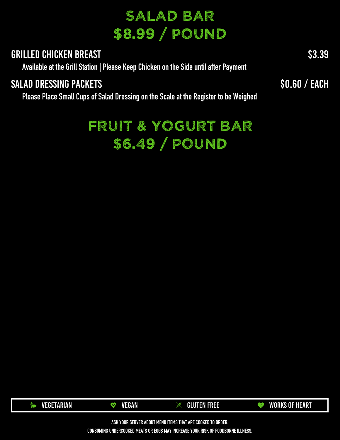

# \$6.49 / POUND FRUIT & YOGURT BAR

#### SALAD DRESSING PACKETS

**Please Place Small Cups of Salad Dressing on the Scale at the Register to be Weighed**

\$0.60 / EACH

#### GRILLED CHICKEN BREAST

**Available at the Grill Station | Please Keep Chicken on the Side until after Payment**

\$3.39

# \$8.99 / POUND SALAD BAR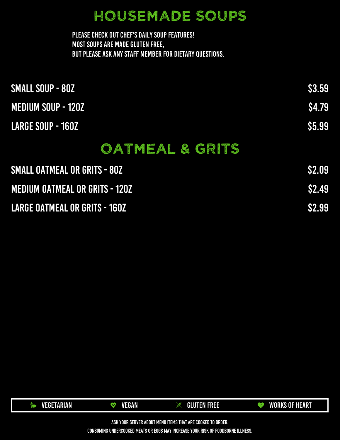

| <b>SMALL OATMEAL OR GRITS - 80Z</b>   | <b>S2.09</b> |
|---------------------------------------|--------------|
| <b>MEDIUM OATMEAL OR GRITS - 120Z</b> | <b>S2.49</b> |
| <b>LARGE OATMEAL OR GRITS - 160Z</b>  | S2.99        |

PLEASE CHECK OUT CHEF'S DAILY SOUP FEATURES! MOST SOUPS ARE MADE GLUTEN FREE, BUT PLEASE ASK ANY STAFF MEMBER FOR DIETARY QUESTIONS.

LARGE SOUP - 160Z<br>\$5.99 MEDIUM SOUP - 120Z SMALL SOUP - 80Z<br>
SMALL SOUP - 80Z

# OATMEAL & GRITS

### HOUSEMADE SOUPS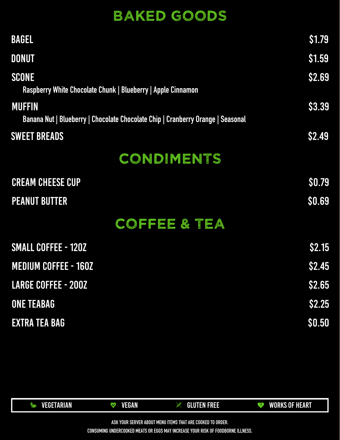

|                      | <b>MEDIUM COFFEE - 160Z</b> | <b>\$2.45</b> |
|----------------------|-----------------------------|---------------|
|                      | <b>LARGE COFFEE - 200Z</b>  | \$2.65        |
| <b>ONE TEABAG</b>    |                             | \$2.25        |
| <b>EXTRA TEA BAG</b> |                             | \$0.50        |

| <b>BAGEL</b>                                                                                     | \$1.79        |
|--------------------------------------------------------------------------------------------------|---------------|
| <b>DONUT</b>                                                                                     | <b>\$1.59</b> |
| <b>SCONE</b><br>Raspberry White Chocolate Chunk   Blueberry   Apple Cinnamon                     | \$2.69        |
| <b>MUFFIN</b><br>Banana Nut   Blueberry   Chocolate Chocolate Chip   Cranberry Orange   Seasonal | \$3.39        |
| <b>SWEET BREADS</b>                                                                              | <b>\$2.49</b> |
| CONDIMENTS                                                                                       |               |
| <b>CREAM CHEESE CUP</b>                                                                          | \$0.79        |
| <b>PEANUT BUTTER</b>                                                                             | <b>\$0.69</b> |
| COFFEE & TEA                                                                                     |               |

# BAKED GOODS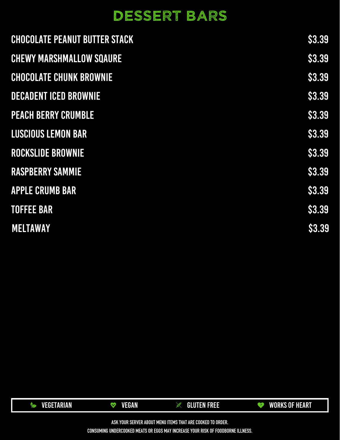

| <b>CHOCOLATE PEANUT BUTTER STACK</b> | \$3.39        |
|--------------------------------------|---------------|
| <b>CHEWY MARSHMALLOW SQAURE</b>      | \$3.39        |
| <b>CHOCOLATE CHUNK BROWNIE</b>       | <b>\$3.39</b> |
| <b>DECADENT ICED BROWNIE</b>         | <b>\$3.39</b> |
| <b>PEACH BERRY CRUMBLE</b>           | \$3.39        |
| LUSCIOUS LEMON BAR                   | \$3.39        |
| <b>ROCKSLIDE BROWNIE</b>             | \$3.39        |
| <b>RASPBERRY SAMMIE</b>              | <b>\$3.39</b> |
| <b>APPLE CRUMB BAR</b>               | <b>\$3.39</b> |
| <b>TOFFEE BAR</b>                    | <b>\$3.39</b> |
| <b>MELTAWAY</b>                      | <b>\$3.39</b> |

# DESSERT BARS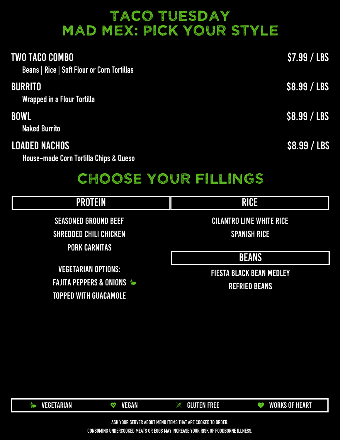

| <b>TWO TACO COMBO</b><br>Beans   Rice   Soft Flour or Corn Tortillas | $\sqrt{57.99 / \text{LBS}}$     |
|----------------------------------------------------------------------|---------------------------------|
| <b>BURRITO</b><br><b>Wrapped in a Flour Tortilla</b>                 | \$8.99 / LBS                    |
| <b>BOWL</b><br><b>Naked Burrito</b>                                  | \$8.99 / LBS                    |
| <b>LOADED NACHOS</b><br>House-made Corn Tortilla Chips & Queso       | <b>\$8.99 / LBS</b>             |
|                                                                      | CHOOSE YOUR FILLINGS            |
| <b>PROTEIN</b>                                                       | <b>RICE</b>                     |
| <b>SEASONED GROUND BEEF</b>                                          | <b>CILANTRO LIME WHITE RICE</b> |
| <b>SHREDDED CHILI CHICKEN</b>                                        | <b>SPANISH RICE</b>             |
| <b>PORK CARNITAS</b>                                                 |                                 |

**BEANS** 

## TACO TUESDAY MAD MEX: PICK YOUR STYLE

#### FIESTA BLACK BEAN MEDLEY

REFRIED BEANS

VEGETARIAN OPTIONS: FAJITA PEPPERS & ONIONS & TOPPED WITH GUACAMOLE